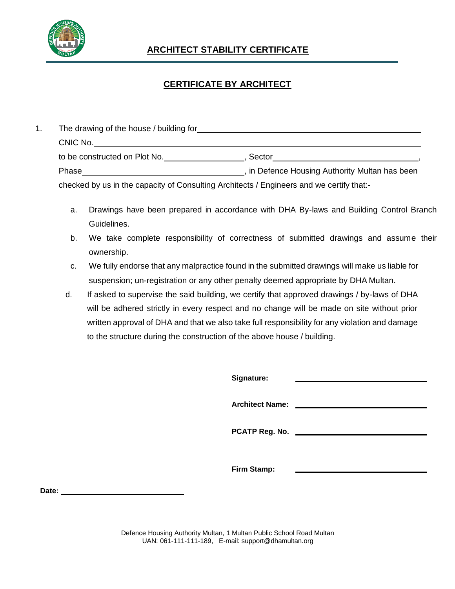

## **ARCHITECT STABILITY CERTIFICATE**

## **CERTIFICATE BY ARCHITECT**

|  | The drawing of the house / building for the state of the drawing of the house / building for |                                                |  |
|--|----------------------------------------------------------------------------------------------|------------------------------------------------|--|
|  | CNIC No.                                                                                     |                                                |  |
|  | to be constructed on Plot No.                                                                | Sector                                         |  |
|  | Phase                                                                                        | , in Defence Housing Authority Multan has been |  |
|  | checked by us in the capacity of Consulting Architects / Engineers and we certify that:-     |                                                |  |

- a. Drawings have been prepared in accordance with DHA By-laws and Building Control Branch Guidelines.
- b. We take complete responsibility of correctness of submitted drawings and assume their ownership.
- c. We fully endorse that any malpractice found in the submitted drawings will make us liable for suspension; un-registration or any other penalty deemed appropriate by DHA Multan.
- d. If asked to supervise the said building, we certify that approved drawings / by-laws of DHA will be adhered strictly in every respect and no change will be made on site without prior written approval of DHA and that we also take full responsibility for any violation and damage to the structure during the construction of the above house / building.

| Signature:             |  |
|------------------------|--|
| <b>Architect Name:</b> |  |
| PCATP Reg. No.         |  |
| Firm Stamp:            |  |

**Date:**